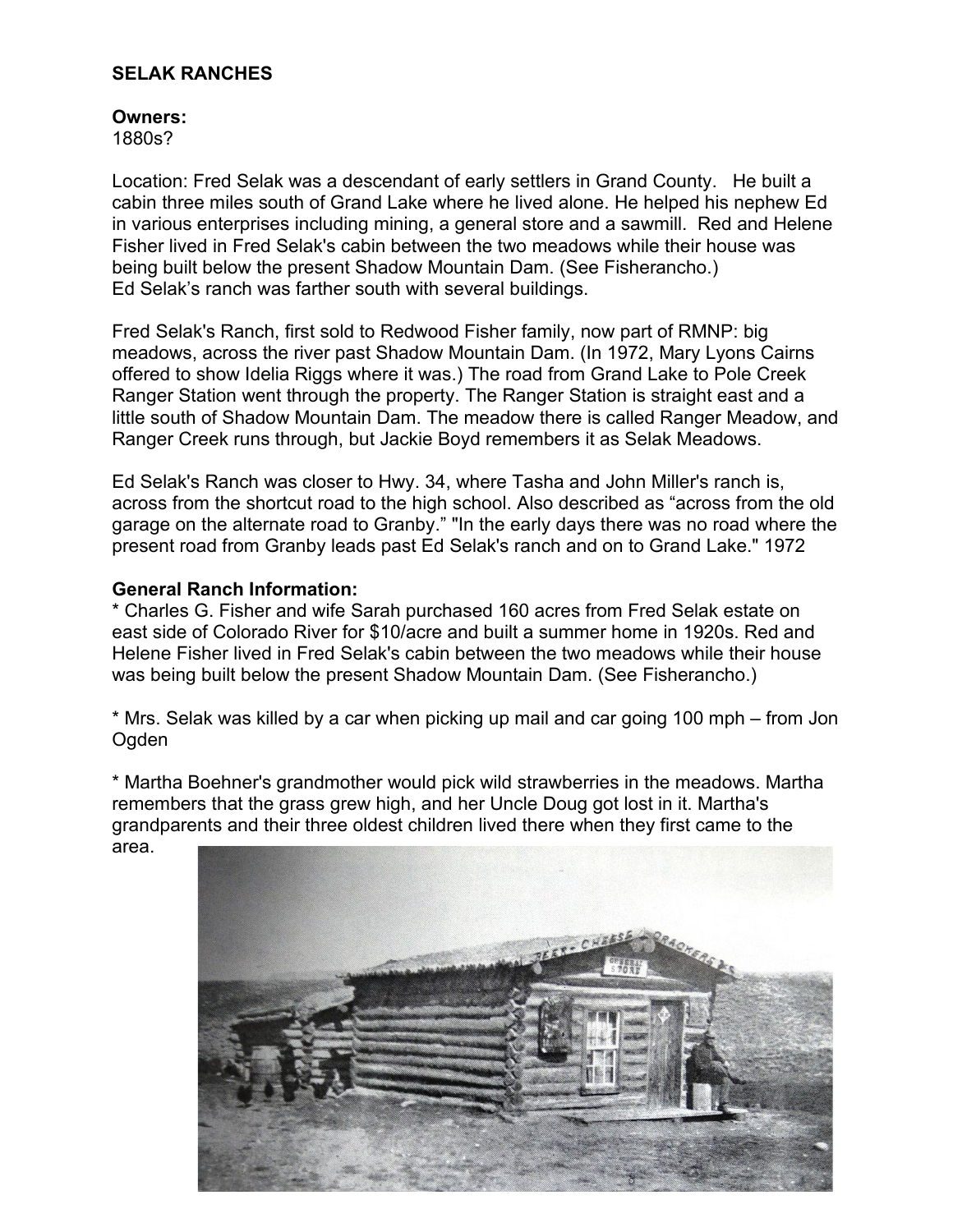## **SELAK RANCHES**

## **Owners:**

1880s?

Location: Fred Selak was a descendant of early settlers in Grand County. He built a cabin three miles south of Grand Lake where he lived alone. He helped his nephew Ed in various enterprises including mining, a general store and a sawmill. Red and Helene Fisher lived in Fred Selak's cabin between the two meadows while their house was being built below the present Shadow Mountain Dam. (See Fisherancho.) Ed Selak's ranch was farther south with several buildings.

Fred Selak's Ranch, first sold to Redwood Fisher family, now part of RMNP: big meadows, across the river past Shadow Mountain Dam. (In 1972, Mary Lyons Cairns offered to show Idelia Riggs where it was.) The road from Grand Lake to Pole Creek Ranger Station went through the property. The Ranger Station is straight east and a little south of Shadow Mountain Dam. The meadow there is called Ranger Meadow, and Ranger Creek runs through, but Jackie Boyd remembers it as Selak Meadows.

Ed Selak's Ranch was closer to Hwy. 34, where Tasha and John Miller's ranch is, across from the shortcut road to the high school. Also described as "across from the old garage on the alternate road to Granby." "In the early days there was no road where the present road from Granby leads past Ed Selak's ranch and on to Grand Lake." 1972

## **General Ranch Information:**

\* Charles G. Fisher and wife Sarah purchased 160 acres from Fred Selak estate on east side of Colorado River for \$10/acre and built a summer home in 1920s. Red and Helene Fisher lived in Fred Selak's cabin between the two meadows while their house was being built below the present Shadow Mountain Dam. (See Fisherancho.)

\* Mrs. Selak was killed by a car when picking up mail and car going 100 mph – from Jon Ogden

\* Martha Boehner's grandmother would pick wild strawberries in the meadows. Martha remembers that the grass grew high, and her Uncle Doug got lost in it. Martha's grandparents and their three oldest children lived there when they first came to the area.